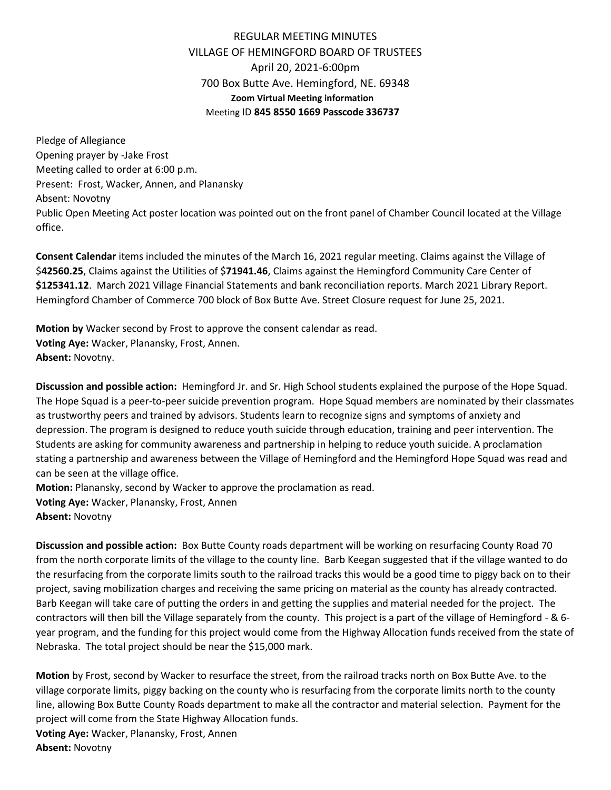## REGULAR MEETING MINUTES VILLAGE OF HEMINGFORD BOARD OF TRUSTEES April 20, 2021-6:00pm 700 Box Butte Ave. Hemingford, NE. 69348 **Zoom Virtual Meeting information** Meeting ID **845 8550 1669 Passcode 336737**

Pledge of Allegiance Opening prayer by -Jake Frost Meeting called to order at 6:00 p.m. Present: Frost, Wacker, Annen, and Planansky Absent: Novotny Public Open Meeting Act poster location was pointed out on the front panel of Chamber Council located at the Village office.

**Consent Calendar** items included the minutes of the March 16, 2021 regular meeting. Claims against the Village of \$**42560.25**, Claims against the Utilities of \$**71941.46**, Claims against the Hemingford Community Care Center of **\$125341.12**. March 2021 Village Financial Statements and bank reconciliation reports. March 2021 Library Report. Hemingford Chamber of Commerce 700 block of Box Butte Ave. Street Closure request for June 25, 2021.

**Motion by** Wacker second by Frost to approve the consent calendar as read. **Voting Aye:** Wacker, Planansky, Frost, Annen. **Absent:** Novotny.

**Discussion and possible action:** Hemingford Jr. and Sr. High School students explained the purpose of the Hope Squad. The Hope Squad is a peer-to-peer suicide prevention program. Hope Squad members are nominated by their classmates as trustworthy peers and trained by advisors. Students learn to recognize signs and symptoms of anxiety and depression. The program is designed to reduce youth suicide through education, training and peer intervention. The Students are asking for community awareness and partnership in helping to reduce youth suicide. A proclamation stating a partnership and awareness between the Village of Hemingford and the Hemingford Hope Squad was read and can be seen at the village office.

**Motion:** Planansky, second by Wacker to approve the proclamation as read. **Voting Aye:** Wacker, Planansky, Frost, Annen **Absent:** Novotny

**Discussion and possible action:** Box Butte County roads department will be working on resurfacing County Road 70 from the north corporate limits of the village to the county line. Barb Keegan suggested that if the village wanted to do the resurfacing from the corporate limits south to the railroad tracks this would be a good time to piggy back on to their project, saving mobilization charges and receiving the same pricing on material as the county has already contracted. Barb Keegan will take care of putting the orders in and getting the supplies and material needed for the project. The contractors will then bill the Village separately from the county. This project is a part of the village of Hemingford - & 6 year program, and the funding for this project would come from the Highway Allocation funds received from the state of Nebraska. The total project should be near the \$15,000 mark.

**Motion** by Frost, second by Wacker to resurface the street, from the railroad tracks north on Box Butte Ave. to the village corporate limits, piggy backing on the county who is resurfacing from the corporate limits north to the county line, allowing Box Butte County Roads department to make all the contractor and material selection. Payment for the project will come from the State Highway Allocation funds. **Voting Aye:** Wacker, Planansky, Frost, Annen **Absent:** Novotny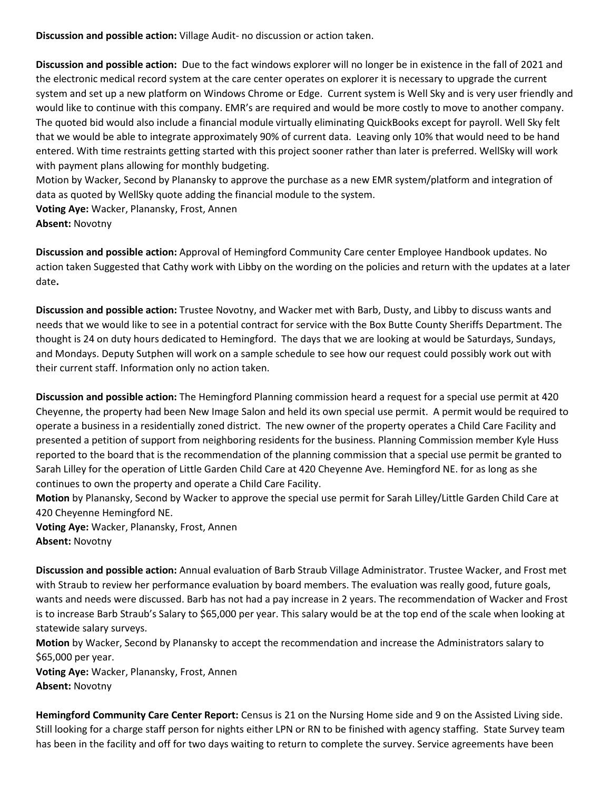**Discussion and possible action:** Village Audit- no discussion or action taken.

**Discussion and possible action:** Due to the fact windows explorer will no longer be in existence in the fall of 2021 and the electronic medical record system at the care center operates on explorer it is necessary to upgrade the current system and set up a new platform on Windows Chrome or Edge. Current system is Well Sky and is very user friendly and would like to continue with this company. EMR's are required and would be more costly to move to another company. The quoted bid would also include a financial module virtually eliminating QuickBooks except for payroll. Well Sky felt that we would be able to integrate approximately 90% of current data. Leaving only 10% that would need to be hand entered. With time restraints getting started with this project sooner rather than later is preferred. WellSky will work with payment plans allowing for monthly budgeting.

Motion by Wacker, Second by Planansky to approve the purchase as a new EMR system/platform and integration of data as quoted by WellSky quote adding the financial module to the system.

**Voting Aye:** Wacker, Planansky, Frost, Annen

**Absent:** Novotny

**Discussion and possible action:** Approval of Hemingford Community Care center Employee Handbook updates. No action taken Suggested that Cathy work with Libby on the wording on the policies and return with the updates at a later date**.**

**Discussion and possible action:** Trustee Novotny, and Wacker met with Barb, Dusty, and Libby to discuss wants and needs that we would like to see in a potential contract for service with the Box Butte County Sheriffs Department. The thought is 24 on duty hours dedicated to Hemingford. The days that we are looking at would be Saturdays, Sundays, and Mondays. Deputy Sutphen will work on a sample schedule to see how our request could possibly work out with their current staff. Information only no action taken.

**Discussion and possible action:** The Hemingford Planning commission heard a request for a special use permit at 420 Cheyenne, the property had been New Image Salon and held its own special use permit. A permit would be required to operate a business in a residentially zoned district. The new owner of the property operates a Child Care Facility and presented a petition of support from neighboring residents for the business. Planning Commission member Kyle Huss reported to the board that is the recommendation of the planning commission that a special use permit be granted to Sarah Lilley for the operation of Little Garden Child Care at 420 Cheyenne Ave. Hemingford NE. for as long as she continues to own the property and operate a Child Care Facility.

**Motion** by Planansky, Second by Wacker to approve the special use permit for Sarah Lilley/Little Garden Child Care at 420 Cheyenne Hemingford NE.

**Voting Aye:** Wacker, Planansky, Frost, Annen **Absent:** Novotny

**Discussion and possible action:** Annual evaluation of Barb Straub Village Administrator. Trustee Wacker, and Frost met with Straub to review her performance evaluation by board members. The evaluation was really good, future goals, wants and needs were discussed. Barb has not had a pay increase in 2 years. The recommendation of Wacker and Frost is to increase Barb Straub's Salary to \$65,000 per year. This salary would be at the top end of the scale when looking at statewide salary surveys.

**Motion** by Wacker, Second by Planansky to accept the recommendation and increase the Administrators salary to \$65,000 per year.

**Voting Aye:** Wacker, Planansky, Frost, Annen **Absent:** Novotny

**Hemingford Community Care Center Report:** Census is 21 on the Nursing Home side and 9 on the Assisted Living side. Still looking for a charge staff person for nights either LPN or RN to be finished with agency staffing. State Survey team has been in the facility and off for two days waiting to return to complete the survey. Service agreements have been